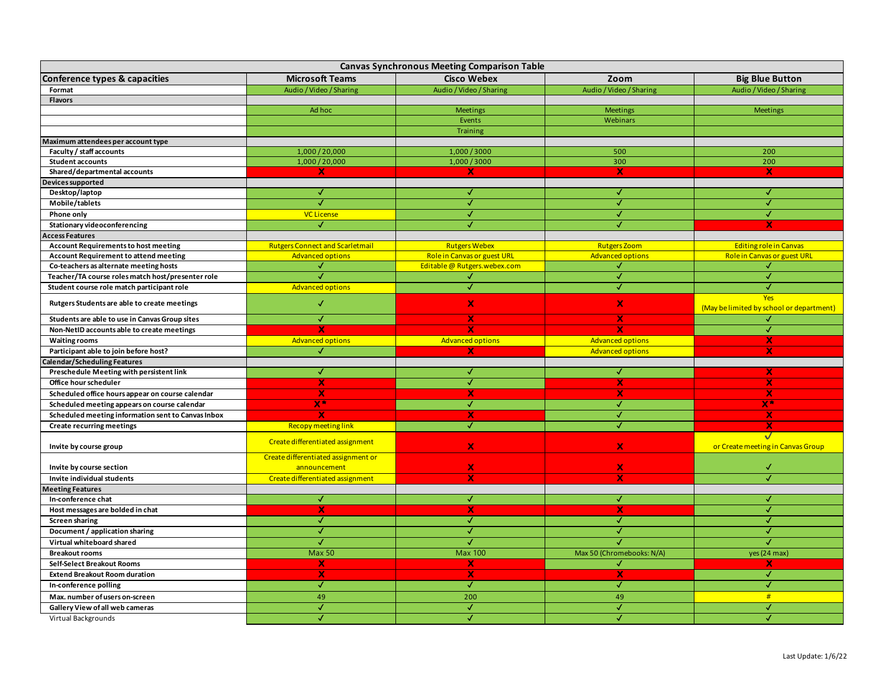| Conference types & capacities<br><b>Microsoft Teams</b><br><b>Cisco Webex</b><br>Zoom<br><b>Big Blue Button</b><br>Audio / Video / Sharing<br>Audio / Video / Sharing<br>Audio / Video / Sharing<br>Audio / Video / Sharing<br>Format<br><b>Flavors</b><br>Ad hoc<br><b>Meetings</b><br><b>Meetings</b><br><b>Meetings</b><br>Events<br>Webinars<br><b>Training</b><br>Maximum attendees per account type<br>Faculty / staff accounts<br>1,000/20,000<br>1,000 / 3000<br>500<br>200<br>1,000/20,000<br>1,000/3000<br>300<br>200<br><b>Student accounts</b><br>Shared/departmental accounts<br>x<br>x<br>x<br>x<br>Devices supported<br>Desktop/laptop<br>J<br>✓<br>√<br>Mobile/tablets<br>√<br>Phone only<br><b>VC License</b><br>✓<br>J<br>√<br>$\checkmark$<br>J.<br>Stationary videoconferencing<br>√<br><b>Access Features</b><br><b>Account Requirements to host meeting</b><br><b>Rutgers Connect and Scarletmail</b><br><b>Rutgers Webex</b><br><b>Rutgers Zoom</b><br><b>Editing role in Canvas</b><br><b>Advanced options</b><br>Role in Canvas or guest URL<br><b>Advanced options</b><br><b>Role in Canvas or guest URL</b><br><b>Account Requirement to attend meeting</b><br>Editable @ Rutgers.webex.com<br>Co-teachers as alternate meeting hosts<br>$\checkmark$<br>√<br>$\checkmark$<br>$\overline{\mathcal{F}}$<br>$\checkmark$<br>$\checkmark$<br>Teacher/TA course roles match host/presenter role<br>√<br>Student course role match participant role<br>✓<br><b>Advanced options</b><br>√<br>√<br>Yes<br>$\boldsymbol{\mathsf{x}}$<br>$\overline{\mathsf{x}}$<br>Rutgers Students are able to create meetings<br>$\checkmark$<br>(May be limited by school or department)<br>$\checkmark$<br>$\boldsymbol{\mathsf{x}}$<br>Students are able to use in Canvas Group sites<br>x<br>J<br>$\checkmark$<br>Non-NetID accounts able to create meetings<br>$\boldsymbol{\mathsf{x}}$<br>x<br>x<br><b>Advanced options</b><br><b>Advanced options</b><br><b>Advanced options</b><br><b>Waiting rooms</b><br>x<br>Participant able to join before host?<br>√<br>$\mathsf{x}$<br><b>Advanced options</b><br>calendar/Scheduling Features<br>Preschedule Meeting with persistent link<br>$\checkmark$<br>✓<br>$\checkmark$<br>x<br>$\overline{\mathsf{x}}$<br>✓<br>Office hour scheduler<br>$\boldsymbol{\mathsf{x}}$<br>$\boldsymbol{\mathsf{x}}$<br>$\overline{\textsf{x}}$<br>Scheduled office hours appear on course calendar<br>x<br>x<br>$\overline{\mathsf{x}}$ *<br>$\overline{\mathbf{x}}$ *<br>$\checkmark$<br>$\checkmark$<br>Scheduled meeting appears on course calendar<br>$\boldsymbol{\mathsf{x}}$<br>Scheduled meeting information sent to Canvas Inbox<br>x<br>√<br>$\boldsymbol{\mathsf{x}}$<br><b>Recopy meeting link</b><br>√<br>x<br><b>Create recurring meetings</b><br>$\overline{\mathsf{v}}$<br>Create differentiated assignment<br>$\boldsymbol{\mathsf{x}}$<br>$\mathsf{x}$<br>or Create meeting in Canvas Group<br>Invite by course group<br>Create differentiated assignment or<br>$\boldsymbol{\mathsf{x}}$<br>$\boldsymbol{\mathsf{x}}$<br>Invite by course section<br>announcement<br>Invite individual students<br>X<br>Create differentiated assignment<br>Meeting Features<br>√<br>√<br>√<br>In-conference chat<br>J<br>$\overline{\mathsf{x}}$<br>x<br>$\checkmark$<br>Host messages are bolded in chat<br>x<br>$\checkmark$<br>√<br>√<br><b>Screen sharing</b><br>√<br>Document / application sharing<br>√<br>✓<br>√<br>$\overline{\checkmark}$<br>Virtual whiteboard shared<br>$\checkmark$<br>$\mathcal{L}$<br><b>Max 50</b><br><b>Max 100</b><br>yes (24 max)<br><b>Breakout rooms</b><br>Max 50 (Chromebooks: N/A)<br>X<br>x<br>√<br>X<br>Self-Select Breakout Rooms<br>$\boldsymbol{\mathsf{x}}$<br>$\boldsymbol{\times}$<br><b>Extend Breakout Room duration</b><br>×<br>√<br>$\overline{\checkmark}$<br>$\overline{\sqrt{2}}$<br>$\checkmark$<br>$\checkmark$<br>In-conference polling<br>49<br>200<br>49<br>#<br>Max, number of users on-screen | <b>Canvas Synchronous Meeting Comparison Table</b> |   |                         |   |   |  |  |  |
|---------------------------------------------------------------------------------------------------------------------------------------------------------------------------------------------------------------------------------------------------------------------------------------------------------------------------------------------------------------------------------------------------------------------------------------------------------------------------------------------------------------------------------------------------------------------------------------------------------------------------------------------------------------------------------------------------------------------------------------------------------------------------------------------------------------------------------------------------------------------------------------------------------------------------------------------------------------------------------------------------------------------------------------------------------------------------------------------------------------------------------------------------------------------------------------------------------------------------------------------------------------------------------------------------------------------------------------------------------------------------------------------------------------------------------------------------------------------------------------------------------------------------------------------------------------------------------------------------------------------------------------------------------------------------------------------------------------------------------------------------------------------------------------------------------------------------------------------------------------------------------------------------------------------------------------------------------------------------------------------------------------------------------------------------------------------------------------------------------------------------------------------------------------------------------------------------------------------------------------------------------------------------------------------------------------------------------------------------------------------------------------------------------------------------------------------------------------------------------------------------------------------------------------------------------------------------------------------------------------------------------------------------------------------------------------------------------------------------------------------------------------------------------------------------------------------------------------------------------------------------------------------------------------------------------------------------------------------------------------------------------------------------------------------------------------------------------------------------------------------------------------------------------------------------------------------------------------------------------------------------------------------------------------------------------------------------------------------------------------------------------------------------------------------------------------------------------------------------------------------------------------------------------------------------------------------------------------------------------------------------------------------------------------------------------------------------------------------------------------------------------------------------------------------------------------------------------------------------------------------------------------------------------------------------------------------------------------------------------------------------------|----------------------------------------------------|---|-------------------------|---|---|--|--|--|
|                                                                                                                                                                                                                                                                                                                                                                                                                                                                                                                                                                                                                                                                                                                                                                                                                                                                                                                                                                                                                                                                                                                                                                                                                                                                                                                                                                                                                                                                                                                                                                                                                                                                                                                                                                                                                                                                                                                                                                                                                                                                                                                                                                                                                                                                                                                                                                                                                                                                                                                                                                                                                                                                                                                                                                                                                                                                                                                                                                                                                                                                                                                                                                                                                                                                                                                                                                                                                                                                                                                                                                                                                                                                                                                                                                                                                                                                                                                                                                                                         |                                                    |   |                         |   |   |  |  |  |
|                                                                                                                                                                                                                                                                                                                                                                                                                                                                                                                                                                                                                                                                                                                                                                                                                                                                                                                                                                                                                                                                                                                                                                                                                                                                                                                                                                                                                                                                                                                                                                                                                                                                                                                                                                                                                                                                                                                                                                                                                                                                                                                                                                                                                                                                                                                                                                                                                                                                                                                                                                                                                                                                                                                                                                                                                                                                                                                                                                                                                                                                                                                                                                                                                                                                                                                                                                                                                                                                                                                                                                                                                                                                                                                                                                                                                                                                                                                                                                                                         |                                                    |   |                         |   |   |  |  |  |
|                                                                                                                                                                                                                                                                                                                                                                                                                                                                                                                                                                                                                                                                                                                                                                                                                                                                                                                                                                                                                                                                                                                                                                                                                                                                                                                                                                                                                                                                                                                                                                                                                                                                                                                                                                                                                                                                                                                                                                                                                                                                                                                                                                                                                                                                                                                                                                                                                                                                                                                                                                                                                                                                                                                                                                                                                                                                                                                                                                                                                                                                                                                                                                                                                                                                                                                                                                                                                                                                                                                                                                                                                                                                                                                                                                                                                                                                                                                                                                                                         |                                                    |   |                         |   |   |  |  |  |
|                                                                                                                                                                                                                                                                                                                                                                                                                                                                                                                                                                                                                                                                                                                                                                                                                                                                                                                                                                                                                                                                                                                                                                                                                                                                                                                                                                                                                                                                                                                                                                                                                                                                                                                                                                                                                                                                                                                                                                                                                                                                                                                                                                                                                                                                                                                                                                                                                                                                                                                                                                                                                                                                                                                                                                                                                                                                                                                                                                                                                                                                                                                                                                                                                                                                                                                                                                                                                                                                                                                                                                                                                                                                                                                                                                                                                                                                                                                                                                                                         |                                                    |   |                         |   |   |  |  |  |
|                                                                                                                                                                                                                                                                                                                                                                                                                                                                                                                                                                                                                                                                                                                                                                                                                                                                                                                                                                                                                                                                                                                                                                                                                                                                                                                                                                                                                                                                                                                                                                                                                                                                                                                                                                                                                                                                                                                                                                                                                                                                                                                                                                                                                                                                                                                                                                                                                                                                                                                                                                                                                                                                                                                                                                                                                                                                                                                                                                                                                                                                                                                                                                                                                                                                                                                                                                                                                                                                                                                                                                                                                                                                                                                                                                                                                                                                                                                                                                                                         |                                                    |   |                         |   |   |  |  |  |
|                                                                                                                                                                                                                                                                                                                                                                                                                                                                                                                                                                                                                                                                                                                                                                                                                                                                                                                                                                                                                                                                                                                                                                                                                                                                                                                                                                                                                                                                                                                                                                                                                                                                                                                                                                                                                                                                                                                                                                                                                                                                                                                                                                                                                                                                                                                                                                                                                                                                                                                                                                                                                                                                                                                                                                                                                                                                                                                                                                                                                                                                                                                                                                                                                                                                                                                                                                                                                                                                                                                                                                                                                                                                                                                                                                                                                                                                                                                                                                                                         |                                                    |   |                         |   |   |  |  |  |
|                                                                                                                                                                                                                                                                                                                                                                                                                                                                                                                                                                                                                                                                                                                                                                                                                                                                                                                                                                                                                                                                                                                                                                                                                                                                                                                                                                                                                                                                                                                                                                                                                                                                                                                                                                                                                                                                                                                                                                                                                                                                                                                                                                                                                                                                                                                                                                                                                                                                                                                                                                                                                                                                                                                                                                                                                                                                                                                                                                                                                                                                                                                                                                                                                                                                                                                                                                                                                                                                                                                                                                                                                                                                                                                                                                                                                                                                                                                                                                                                         |                                                    |   |                         |   |   |  |  |  |
|                                                                                                                                                                                                                                                                                                                                                                                                                                                                                                                                                                                                                                                                                                                                                                                                                                                                                                                                                                                                                                                                                                                                                                                                                                                                                                                                                                                                                                                                                                                                                                                                                                                                                                                                                                                                                                                                                                                                                                                                                                                                                                                                                                                                                                                                                                                                                                                                                                                                                                                                                                                                                                                                                                                                                                                                                                                                                                                                                                                                                                                                                                                                                                                                                                                                                                                                                                                                                                                                                                                                                                                                                                                                                                                                                                                                                                                                                                                                                                                                         |                                                    |   |                         |   |   |  |  |  |
|                                                                                                                                                                                                                                                                                                                                                                                                                                                                                                                                                                                                                                                                                                                                                                                                                                                                                                                                                                                                                                                                                                                                                                                                                                                                                                                                                                                                                                                                                                                                                                                                                                                                                                                                                                                                                                                                                                                                                                                                                                                                                                                                                                                                                                                                                                                                                                                                                                                                                                                                                                                                                                                                                                                                                                                                                                                                                                                                                                                                                                                                                                                                                                                                                                                                                                                                                                                                                                                                                                                                                                                                                                                                                                                                                                                                                                                                                                                                                                                                         |                                                    |   |                         |   |   |  |  |  |
|                                                                                                                                                                                                                                                                                                                                                                                                                                                                                                                                                                                                                                                                                                                                                                                                                                                                                                                                                                                                                                                                                                                                                                                                                                                                                                                                                                                                                                                                                                                                                                                                                                                                                                                                                                                                                                                                                                                                                                                                                                                                                                                                                                                                                                                                                                                                                                                                                                                                                                                                                                                                                                                                                                                                                                                                                                                                                                                                                                                                                                                                                                                                                                                                                                                                                                                                                                                                                                                                                                                                                                                                                                                                                                                                                                                                                                                                                                                                                                                                         |                                                    |   |                         |   |   |  |  |  |
|                                                                                                                                                                                                                                                                                                                                                                                                                                                                                                                                                                                                                                                                                                                                                                                                                                                                                                                                                                                                                                                                                                                                                                                                                                                                                                                                                                                                                                                                                                                                                                                                                                                                                                                                                                                                                                                                                                                                                                                                                                                                                                                                                                                                                                                                                                                                                                                                                                                                                                                                                                                                                                                                                                                                                                                                                                                                                                                                                                                                                                                                                                                                                                                                                                                                                                                                                                                                                                                                                                                                                                                                                                                                                                                                                                                                                                                                                                                                                                                                         |                                                    |   |                         |   |   |  |  |  |
|                                                                                                                                                                                                                                                                                                                                                                                                                                                                                                                                                                                                                                                                                                                                                                                                                                                                                                                                                                                                                                                                                                                                                                                                                                                                                                                                                                                                                                                                                                                                                                                                                                                                                                                                                                                                                                                                                                                                                                                                                                                                                                                                                                                                                                                                                                                                                                                                                                                                                                                                                                                                                                                                                                                                                                                                                                                                                                                                                                                                                                                                                                                                                                                                                                                                                                                                                                                                                                                                                                                                                                                                                                                                                                                                                                                                                                                                                                                                                                                                         |                                                    |   |                         |   |   |  |  |  |
|                                                                                                                                                                                                                                                                                                                                                                                                                                                                                                                                                                                                                                                                                                                                                                                                                                                                                                                                                                                                                                                                                                                                                                                                                                                                                                                                                                                                                                                                                                                                                                                                                                                                                                                                                                                                                                                                                                                                                                                                                                                                                                                                                                                                                                                                                                                                                                                                                                                                                                                                                                                                                                                                                                                                                                                                                                                                                                                                                                                                                                                                                                                                                                                                                                                                                                                                                                                                                                                                                                                                                                                                                                                                                                                                                                                                                                                                                                                                                                                                         |                                                    |   |                         |   |   |  |  |  |
|                                                                                                                                                                                                                                                                                                                                                                                                                                                                                                                                                                                                                                                                                                                                                                                                                                                                                                                                                                                                                                                                                                                                                                                                                                                                                                                                                                                                                                                                                                                                                                                                                                                                                                                                                                                                                                                                                                                                                                                                                                                                                                                                                                                                                                                                                                                                                                                                                                                                                                                                                                                                                                                                                                                                                                                                                                                                                                                                                                                                                                                                                                                                                                                                                                                                                                                                                                                                                                                                                                                                                                                                                                                                                                                                                                                                                                                                                                                                                                                                         |                                                    |   |                         |   |   |  |  |  |
|                                                                                                                                                                                                                                                                                                                                                                                                                                                                                                                                                                                                                                                                                                                                                                                                                                                                                                                                                                                                                                                                                                                                                                                                                                                                                                                                                                                                                                                                                                                                                                                                                                                                                                                                                                                                                                                                                                                                                                                                                                                                                                                                                                                                                                                                                                                                                                                                                                                                                                                                                                                                                                                                                                                                                                                                                                                                                                                                                                                                                                                                                                                                                                                                                                                                                                                                                                                                                                                                                                                                                                                                                                                                                                                                                                                                                                                                                                                                                                                                         |                                                    |   |                         |   |   |  |  |  |
|                                                                                                                                                                                                                                                                                                                                                                                                                                                                                                                                                                                                                                                                                                                                                                                                                                                                                                                                                                                                                                                                                                                                                                                                                                                                                                                                                                                                                                                                                                                                                                                                                                                                                                                                                                                                                                                                                                                                                                                                                                                                                                                                                                                                                                                                                                                                                                                                                                                                                                                                                                                                                                                                                                                                                                                                                                                                                                                                                                                                                                                                                                                                                                                                                                                                                                                                                                                                                                                                                                                                                                                                                                                                                                                                                                                                                                                                                                                                                                                                         |                                                    |   |                         |   |   |  |  |  |
|                                                                                                                                                                                                                                                                                                                                                                                                                                                                                                                                                                                                                                                                                                                                                                                                                                                                                                                                                                                                                                                                                                                                                                                                                                                                                                                                                                                                                                                                                                                                                                                                                                                                                                                                                                                                                                                                                                                                                                                                                                                                                                                                                                                                                                                                                                                                                                                                                                                                                                                                                                                                                                                                                                                                                                                                                                                                                                                                                                                                                                                                                                                                                                                                                                                                                                                                                                                                                                                                                                                                                                                                                                                                                                                                                                                                                                                                                                                                                                                                         |                                                    |   |                         |   |   |  |  |  |
|                                                                                                                                                                                                                                                                                                                                                                                                                                                                                                                                                                                                                                                                                                                                                                                                                                                                                                                                                                                                                                                                                                                                                                                                                                                                                                                                                                                                                                                                                                                                                                                                                                                                                                                                                                                                                                                                                                                                                                                                                                                                                                                                                                                                                                                                                                                                                                                                                                                                                                                                                                                                                                                                                                                                                                                                                                                                                                                                                                                                                                                                                                                                                                                                                                                                                                                                                                                                                                                                                                                                                                                                                                                                                                                                                                                                                                                                                                                                                                                                         |                                                    |   |                         |   |   |  |  |  |
|                                                                                                                                                                                                                                                                                                                                                                                                                                                                                                                                                                                                                                                                                                                                                                                                                                                                                                                                                                                                                                                                                                                                                                                                                                                                                                                                                                                                                                                                                                                                                                                                                                                                                                                                                                                                                                                                                                                                                                                                                                                                                                                                                                                                                                                                                                                                                                                                                                                                                                                                                                                                                                                                                                                                                                                                                                                                                                                                                                                                                                                                                                                                                                                                                                                                                                                                                                                                                                                                                                                                                                                                                                                                                                                                                                                                                                                                                                                                                                                                         |                                                    |   |                         |   |   |  |  |  |
|                                                                                                                                                                                                                                                                                                                                                                                                                                                                                                                                                                                                                                                                                                                                                                                                                                                                                                                                                                                                                                                                                                                                                                                                                                                                                                                                                                                                                                                                                                                                                                                                                                                                                                                                                                                                                                                                                                                                                                                                                                                                                                                                                                                                                                                                                                                                                                                                                                                                                                                                                                                                                                                                                                                                                                                                                                                                                                                                                                                                                                                                                                                                                                                                                                                                                                                                                                                                                                                                                                                                                                                                                                                                                                                                                                                                                                                                                                                                                                                                         |                                                    |   |                         |   |   |  |  |  |
|                                                                                                                                                                                                                                                                                                                                                                                                                                                                                                                                                                                                                                                                                                                                                                                                                                                                                                                                                                                                                                                                                                                                                                                                                                                                                                                                                                                                                                                                                                                                                                                                                                                                                                                                                                                                                                                                                                                                                                                                                                                                                                                                                                                                                                                                                                                                                                                                                                                                                                                                                                                                                                                                                                                                                                                                                                                                                                                                                                                                                                                                                                                                                                                                                                                                                                                                                                                                                                                                                                                                                                                                                                                                                                                                                                                                                                                                                                                                                                                                         |                                                    |   |                         |   |   |  |  |  |
|                                                                                                                                                                                                                                                                                                                                                                                                                                                                                                                                                                                                                                                                                                                                                                                                                                                                                                                                                                                                                                                                                                                                                                                                                                                                                                                                                                                                                                                                                                                                                                                                                                                                                                                                                                                                                                                                                                                                                                                                                                                                                                                                                                                                                                                                                                                                                                                                                                                                                                                                                                                                                                                                                                                                                                                                                                                                                                                                                                                                                                                                                                                                                                                                                                                                                                                                                                                                                                                                                                                                                                                                                                                                                                                                                                                                                                                                                                                                                                                                         |                                                    |   |                         |   |   |  |  |  |
|                                                                                                                                                                                                                                                                                                                                                                                                                                                                                                                                                                                                                                                                                                                                                                                                                                                                                                                                                                                                                                                                                                                                                                                                                                                                                                                                                                                                                                                                                                                                                                                                                                                                                                                                                                                                                                                                                                                                                                                                                                                                                                                                                                                                                                                                                                                                                                                                                                                                                                                                                                                                                                                                                                                                                                                                                                                                                                                                                                                                                                                                                                                                                                                                                                                                                                                                                                                                                                                                                                                                                                                                                                                                                                                                                                                                                                                                                                                                                                                                         |                                                    |   |                         |   |   |  |  |  |
|                                                                                                                                                                                                                                                                                                                                                                                                                                                                                                                                                                                                                                                                                                                                                                                                                                                                                                                                                                                                                                                                                                                                                                                                                                                                                                                                                                                                                                                                                                                                                                                                                                                                                                                                                                                                                                                                                                                                                                                                                                                                                                                                                                                                                                                                                                                                                                                                                                                                                                                                                                                                                                                                                                                                                                                                                                                                                                                                                                                                                                                                                                                                                                                                                                                                                                                                                                                                                                                                                                                                                                                                                                                                                                                                                                                                                                                                                                                                                                                                         |                                                    |   |                         |   |   |  |  |  |
|                                                                                                                                                                                                                                                                                                                                                                                                                                                                                                                                                                                                                                                                                                                                                                                                                                                                                                                                                                                                                                                                                                                                                                                                                                                                                                                                                                                                                                                                                                                                                                                                                                                                                                                                                                                                                                                                                                                                                                                                                                                                                                                                                                                                                                                                                                                                                                                                                                                                                                                                                                                                                                                                                                                                                                                                                                                                                                                                                                                                                                                                                                                                                                                                                                                                                                                                                                                                                                                                                                                                                                                                                                                                                                                                                                                                                                                                                                                                                                                                         |                                                    |   |                         |   |   |  |  |  |
|                                                                                                                                                                                                                                                                                                                                                                                                                                                                                                                                                                                                                                                                                                                                                                                                                                                                                                                                                                                                                                                                                                                                                                                                                                                                                                                                                                                                                                                                                                                                                                                                                                                                                                                                                                                                                                                                                                                                                                                                                                                                                                                                                                                                                                                                                                                                                                                                                                                                                                                                                                                                                                                                                                                                                                                                                                                                                                                                                                                                                                                                                                                                                                                                                                                                                                                                                                                                                                                                                                                                                                                                                                                                                                                                                                                                                                                                                                                                                                                                         |                                                    |   |                         |   |   |  |  |  |
|                                                                                                                                                                                                                                                                                                                                                                                                                                                                                                                                                                                                                                                                                                                                                                                                                                                                                                                                                                                                                                                                                                                                                                                                                                                                                                                                                                                                                                                                                                                                                                                                                                                                                                                                                                                                                                                                                                                                                                                                                                                                                                                                                                                                                                                                                                                                                                                                                                                                                                                                                                                                                                                                                                                                                                                                                                                                                                                                                                                                                                                                                                                                                                                                                                                                                                                                                                                                                                                                                                                                                                                                                                                                                                                                                                                                                                                                                                                                                                                                         |                                                    |   |                         |   |   |  |  |  |
|                                                                                                                                                                                                                                                                                                                                                                                                                                                                                                                                                                                                                                                                                                                                                                                                                                                                                                                                                                                                                                                                                                                                                                                                                                                                                                                                                                                                                                                                                                                                                                                                                                                                                                                                                                                                                                                                                                                                                                                                                                                                                                                                                                                                                                                                                                                                                                                                                                                                                                                                                                                                                                                                                                                                                                                                                                                                                                                                                                                                                                                                                                                                                                                                                                                                                                                                                                                                                                                                                                                                                                                                                                                                                                                                                                                                                                                                                                                                                                                                         |                                                    |   |                         |   |   |  |  |  |
|                                                                                                                                                                                                                                                                                                                                                                                                                                                                                                                                                                                                                                                                                                                                                                                                                                                                                                                                                                                                                                                                                                                                                                                                                                                                                                                                                                                                                                                                                                                                                                                                                                                                                                                                                                                                                                                                                                                                                                                                                                                                                                                                                                                                                                                                                                                                                                                                                                                                                                                                                                                                                                                                                                                                                                                                                                                                                                                                                                                                                                                                                                                                                                                                                                                                                                                                                                                                                                                                                                                                                                                                                                                                                                                                                                                                                                                                                                                                                                                                         |                                                    |   |                         |   |   |  |  |  |
|                                                                                                                                                                                                                                                                                                                                                                                                                                                                                                                                                                                                                                                                                                                                                                                                                                                                                                                                                                                                                                                                                                                                                                                                                                                                                                                                                                                                                                                                                                                                                                                                                                                                                                                                                                                                                                                                                                                                                                                                                                                                                                                                                                                                                                                                                                                                                                                                                                                                                                                                                                                                                                                                                                                                                                                                                                                                                                                                                                                                                                                                                                                                                                                                                                                                                                                                                                                                                                                                                                                                                                                                                                                                                                                                                                                                                                                                                                                                                                                                         |                                                    |   |                         |   |   |  |  |  |
|                                                                                                                                                                                                                                                                                                                                                                                                                                                                                                                                                                                                                                                                                                                                                                                                                                                                                                                                                                                                                                                                                                                                                                                                                                                                                                                                                                                                                                                                                                                                                                                                                                                                                                                                                                                                                                                                                                                                                                                                                                                                                                                                                                                                                                                                                                                                                                                                                                                                                                                                                                                                                                                                                                                                                                                                                                                                                                                                                                                                                                                                                                                                                                                                                                                                                                                                                                                                                                                                                                                                                                                                                                                                                                                                                                                                                                                                                                                                                                                                         |                                                    |   |                         |   |   |  |  |  |
|                                                                                                                                                                                                                                                                                                                                                                                                                                                                                                                                                                                                                                                                                                                                                                                                                                                                                                                                                                                                                                                                                                                                                                                                                                                                                                                                                                                                                                                                                                                                                                                                                                                                                                                                                                                                                                                                                                                                                                                                                                                                                                                                                                                                                                                                                                                                                                                                                                                                                                                                                                                                                                                                                                                                                                                                                                                                                                                                                                                                                                                                                                                                                                                                                                                                                                                                                                                                                                                                                                                                                                                                                                                                                                                                                                                                                                                                                                                                                                                                         |                                                    |   |                         |   |   |  |  |  |
|                                                                                                                                                                                                                                                                                                                                                                                                                                                                                                                                                                                                                                                                                                                                                                                                                                                                                                                                                                                                                                                                                                                                                                                                                                                                                                                                                                                                                                                                                                                                                                                                                                                                                                                                                                                                                                                                                                                                                                                                                                                                                                                                                                                                                                                                                                                                                                                                                                                                                                                                                                                                                                                                                                                                                                                                                                                                                                                                                                                                                                                                                                                                                                                                                                                                                                                                                                                                                                                                                                                                                                                                                                                                                                                                                                                                                                                                                                                                                                                                         |                                                    |   |                         |   |   |  |  |  |
|                                                                                                                                                                                                                                                                                                                                                                                                                                                                                                                                                                                                                                                                                                                                                                                                                                                                                                                                                                                                                                                                                                                                                                                                                                                                                                                                                                                                                                                                                                                                                                                                                                                                                                                                                                                                                                                                                                                                                                                                                                                                                                                                                                                                                                                                                                                                                                                                                                                                                                                                                                                                                                                                                                                                                                                                                                                                                                                                                                                                                                                                                                                                                                                                                                                                                                                                                                                                                                                                                                                                                                                                                                                                                                                                                                                                                                                                                                                                                                                                         |                                                    |   |                         |   |   |  |  |  |
|                                                                                                                                                                                                                                                                                                                                                                                                                                                                                                                                                                                                                                                                                                                                                                                                                                                                                                                                                                                                                                                                                                                                                                                                                                                                                                                                                                                                                                                                                                                                                                                                                                                                                                                                                                                                                                                                                                                                                                                                                                                                                                                                                                                                                                                                                                                                                                                                                                                                                                                                                                                                                                                                                                                                                                                                                                                                                                                                                                                                                                                                                                                                                                                                                                                                                                                                                                                                                                                                                                                                                                                                                                                                                                                                                                                                                                                                                                                                                                                                         |                                                    |   |                         |   |   |  |  |  |
|                                                                                                                                                                                                                                                                                                                                                                                                                                                                                                                                                                                                                                                                                                                                                                                                                                                                                                                                                                                                                                                                                                                                                                                                                                                                                                                                                                                                                                                                                                                                                                                                                                                                                                                                                                                                                                                                                                                                                                                                                                                                                                                                                                                                                                                                                                                                                                                                                                                                                                                                                                                                                                                                                                                                                                                                                                                                                                                                                                                                                                                                                                                                                                                                                                                                                                                                                                                                                                                                                                                                                                                                                                                                                                                                                                                                                                                                                                                                                                                                         |                                                    |   |                         |   |   |  |  |  |
|                                                                                                                                                                                                                                                                                                                                                                                                                                                                                                                                                                                                                                                                                                                                                                                                                                                                                                                                                                                                                                                                                                                                                                                                                                                                                                                                                                                                                                                                                                                                                                                                                                                                                                                                                                                                                                                                                                                                                                                                                                                                                                                                                                                                                                                                                                                                                                                                                                                                                                                                                                                                                                                                                                                                                                                                                                                                                                                                                                                                                                                                                                                                                                                                                                                                                                                                                                                                                                                                                                                                                                                                                                                                                                                                                                                                                                                                                                                                                                                                         |                                                    |   |                         |   |   |  |  |  |
|                                                                                                                                                                                                                                                                                                                                                                                                                                                                                                                                                                                                                                                                                                                                                                                                                                                                                                                                                                                                                                                                                                                                                                                                                                                                                                                                                                                                                                                                                                                                                                                                                                                                                                                                                                                                                                                                                                                                                                                                                                                                                                                                                                                                                                                                                                                                                                                                                                                                                                                                                                                                                                                                                                                                                                                                                                                                                                                                                                                                                                                                                                                                                                                                                                                                                                                                                                                                                                                                                                                                                                                                                                                                                                                                                                                                                                                                                                                                                                                                         |                                                    |   |                         |   |   |  |  |  |
|                                                                                                                                                                                                                                                                                                                                                                                                                                                                                                                                                                                                                                                                                                                                                                                                                                                                                                                                                                                                                                                                                                                                                                                                                                                                                                                                                                                                                                                                                                                                                                                                                                                                                                                                                                                                                                                                                                                                                                                                                                                                                                                                                                                                                                                                                                                                                                                                                                                                                                                                                                                                                                                                                                                                                                                                                                                                                                                                                                                                                                                                                                                                                                                                                                                                                                                                                                                                                                                                                                                                                                                                                                                                                                                                                                                                                                                                                                                                                                                                         |                                                    |   |                         |   |   |  |  |  |
|                                                                                                                                                                                                                                                                                                                                                                                                                                                                                                                                                                                                                                                                                                                                                                                                                                                                                                                                                                                                                                                                                                                                                                                                                                                                                                                                                                                                                                                                                                                                                                                                                                                                                                                                                                                                                                                                                                                                                                                                                                                                                                                                                                                                                                                                                                                                                                                                                                                                                                                                                                                                                                                                                                                                                                                                                                                                                                                                                                                                                                                                                                                                                                                                                                                                                                                                                                                                                                                                                                                                                                                                                                                                                                                                                                                                                                                                                                                                                                                                         |                                                    |   |                         |   |   |  |  |  |
|                                                                                                                                                                                                                                                                                                                                                                                                                                                                                                                                                                                                                                                                                                                                                                                                                                                                                                                                                                                                                                                                                                                                                                                                                                                                                                                                                                                                                                                                                                                                                                                                                                                                                                                                                                                                                                                                                                                                                                                                                                                                                                                                                                                                                                                                                                                                                                                                                                                                                                                                                                                                                                                                                                                                                                                                                                                                                                                                                                                                                                                                                                                                                                                                                                                                                                                                                                                                                                                                                                                                                                                                                                                                                                                                                                                                                                                                                                                                                                                                         |                                                    |   |                         |   |   |  |  |  |
|                                                                                                                                                                                                                                                                                                                                                                                                                                                                                                                                                                                                                                                                                                                                                                                                                                                                                                                                                                                                                                                                                                                                                                                                                                                                                                                                                                                                                                                                                                                                                                                                                                                                                                                                                                                                                                                                                                                                                                                                                                                                                                                                                                                                                                                                                                                                                                                                                                                                                                                                                                                                                                                                                                                                                                                                                                                                                                                                                                                                                                                                                                                                                                                                                                                                                                                                                                                                                                                                                                                                                                                                                                                                                                                                                                                                                                                                                                                                                                                                         |                                                    |   |                         |   |   |  |  |  |
|                                                                                                                                                                                                                                                                                                                                                                                                                                                                                                                                                                                                                                                                                                                                                                                                                                                                                                                                                                                                                                                                                                                                                                                                                                                                                                                                                                                                                                                                                                                                                                                                                                                                                                                                                                                                                                                                                                                                                                                                                                                                                                                                                                                                                                                                                                                                                                                                                                                                                                                                                                                                                                                                                                                                                                                                                                                                                                                                                                                                                                                                                                                                                                                                                                                                                                                                                                                                                                                                                                                                                                                                                                                                                                                                                                                                                                                                                                                                                                                                         |                                                    |   |                         |   |   |  |  |  |
|                                                                                                                                                                                                                                                                                                                                                                                                                                                                                                                                                                                                                                                                                                                                                                                                                                                                                                                                                                                                                                                                                                                                                                                                                                                                                                                                                                                                                                                                                                                                                                                                                                                                                                                                                                                                                                                                                                                                                                                                                                                                                                                                                                                                                                                                                                                                                                                                                                                                                                                                                                                                                                                                                                                                                                                                                                                                                                                                                                                                                                                                                                                                                                                                                                                                                                                                                                                                                                                                                                                                                                                                                                                                                                                                                                                                                                                                                                                                                                                                         |                                                    |   |                         |   |   |  |  |  |
|                                                                                                                                                                                                                                                                                                                                                                                                                                                                                                                                                                                                                                                                                                                                                                                                                                                                                                                                                                                                                                                                                                                                                                                                                                                                                                                                                                                                                                                                                                                                                                                                                                                                                                                                                                                                                                                                                                                                                                                                                                                                                                                                                                                                                                                                                                                                                                                                                                                                                                                                                                                                                                                                                                                                                                                                                                                                                                                                                                                                                                                                                                                                                                                                                                                                                                                                                                                                                                                                                                                                                                                                                                                                                                                                                                                                                                                                                                                                                                                                         |                                                    |   |                         |   |   |  |  |  |
|                                                                                                                                                                                                                                                                                                                                                                                                                                                                                                                                                                                                                                                                                                                                                                                                                                                                                                                                                                                                                                                                                                                                                                                                                                                                                                                                                                                                                                                                                                                                                                                                                                                                                                                                                                                                                                                                                                                                                                                                                                                                                                                                                                                                                                                                                                                                                                                                                                                                                                                                                                                                                                                                                                                                                                                                                                                                                                                                                                                                                                                                                                                                                                                                                                                                                                                                                                                                                                                                                                                                                                                                                                                                                                                                                                                                                                                                                                                                                                                                         |                                                    |   |                         |   |   |  |  |  |
|                                                                                                                                                                                                                                                                                                                                                                                                                                                                                                                                                                                                                                                                                                                                                                                                                                                                                                                                                                                                                                                                                                                                                                                                                                                                                                                                                                                                                                                                                                                                                                                                                                                                                                                                                                                                                                                                                                                                                                                                                                                                                                                                                                                                                                                                                                                                                                                                                                                                                                                                                                                                                                                                                                                                                                                                                                                                                                                                                                                                                                                                                                                                                                                                                                                                                                                                                                                                                                                                                                                                                                                                                                                                                                                                                                                                                                                                                                                                                                                                         |                                                    |   |                         |   |   |  |  |  |
|                                                                                                                                                                                                                                                                                                                                                                                                                                                                                                                                                                                                                                                                                                                                                                                                                                                                                                                                                                                                                                                                                                                                                                                                                                                                                                                                                                                                                                                                                                                                                                                                                                                                                                                                                                                                                                                                                                                                                                                                                                                                                                                                                                                                                                                                                                                                                                                                                                                                                                                                                                                                                                                                                                                                                                                                                                                                                                                                                                                                                                                                                                                                                                                                                                                                                                                                                                                                                                                                                                                                                                                                                                                                                                                                                                                                                                                                                                                                                                                                         |                                                    |   |                         |   |   |  |  |  |
|                                                                                                                                                                                                                                                                                                                                                                                                                                                                                                                                                                                                                                                                                                                                                                                                                                                                                                                                                                                                                                                                                                                                                                                                                                                                                                                                                                                                                                                                                                                                                                                                                                                                                                                                                                                                                                                                                                                                                                                                                                                                                                                                                                                                                                                                                                                                                                                                                                                                                                                                                                                                                                                                                                                                                                                                                                                                                                                                                                                                                                                                                                                                                                                                                                                                                                                                                                                                                                                                                                                                                                                                                                                                                                                                                                                                                                                                                                                                                                                                         |                                                    |   |                         |   |   |  |  |  |
|                                                                                                                                                                                                                                                                                                                                                                                                                                                                                                                                                                                                                                                                                                                                                                                                                                                                                                                                                                                                                                                                                                                                                                                                                                                                                                                                                                                                                                                                                                                                                                                                                                                                                                                                                                                                                                                                                                                                                                                                                                                                                                                                                                                                                                                                                                                                                                                                                                                                                                                                                                                                                                                                                                                                                                                                                                                                                                                                                                                                                                                                                                                                                                                                                                                                                                                                                                                                                                                                                                                                                                                                                                                                                                                                                                                                                                                                                                                                                                                                         | Gallery View of all web cameras                    | ⊽ | $\overline{\checkmark}$ | √ | √ |  |  |  |
| $\checkmark$<br>√<br>√<br>J<br>Virtual Backgrounds                                                                                                                                                                                                                                                                                                                                                                                                                                                                                                                                                                                                                                                                                                                                                                                                                                                                                                                                                                                                                                                                                                                                                                                                                                                                                                                                                                                                                                                                                                                                                                                                                                                                                                                                                                                                                                                                                                                                                                                                                                                                                                                                                                                                                                                                                                                                                                                                                                                                                                                                                                                                                                                                                                                                                                                                                                                                                                                                                                                                                                                                                                                                                                                                                                                                                                                                                                                                                                                                                                                                                                                                                                                                                                                                                                                                                                                                                                                                                      |                                                    |   |                         |   |   |  |  |  |